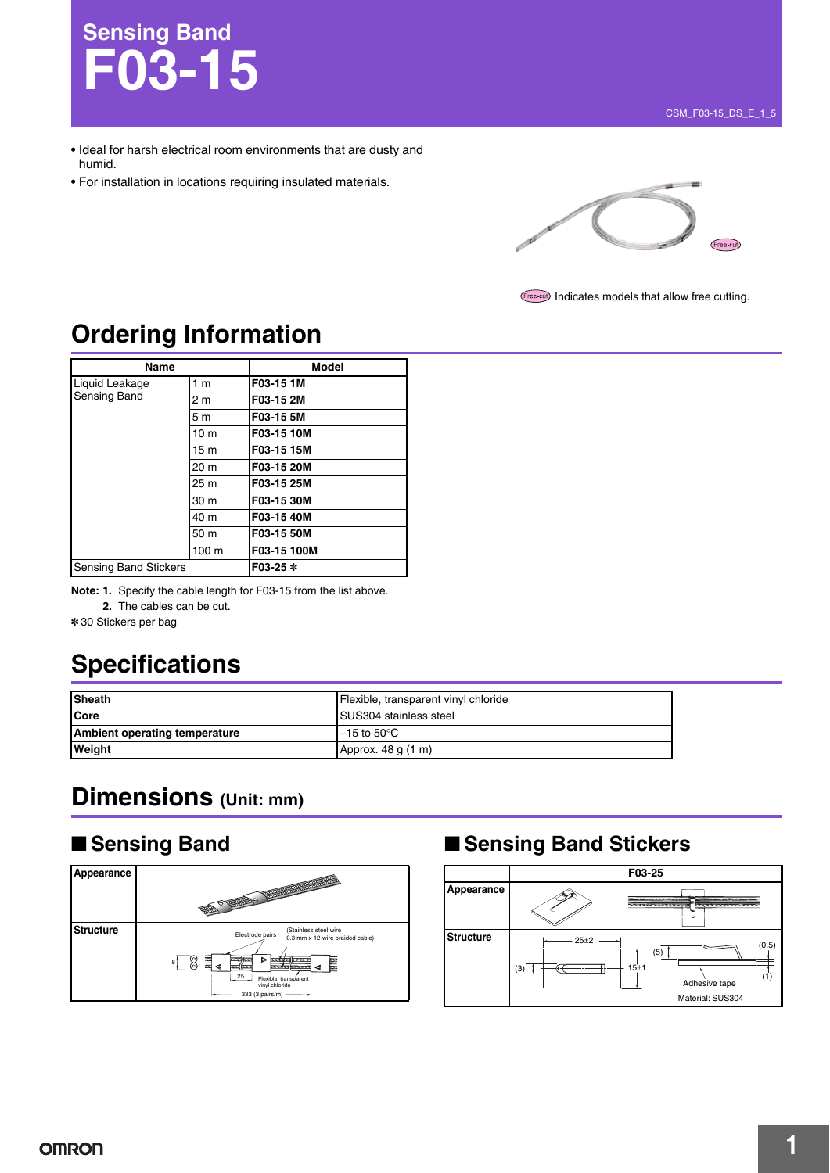# **Sensing Band F03-15**

- Ideal for harsh electrical room environments that are dusty and humid.
- For installation in locations requiring insulated materials.



Indicates models that allow free cutting.

### **Ordering Information**

| Name                           |                 | <b>Model</b> |
|--------------------------------|-----------------|--------------|
| Liquid Leakage<br>Sensing Band | 1 <sub>m</sub>  | F03-15 1M    |
|                                | 2 <sub>m</sub>  | F03-15 2M    |
|                                | 5 <sub>m</sub>  | F03-15 5M    |
|                                | 10 <sub>m</sub> | F03-15 10M   |
|                                | 15 <sub>m</sub> | F03-15 15M   |
|                                | 20 m            | F03-15 20M   |
|                                | 25 m            | F03-15 25M   |
|                                | 30 m            | F03-15 30M   |
|                                | 40 m            | F03-15 40M   |
|                                | 50 m            | F03-15 50M   |
|                                | 100 m           | F03-15 100M  |
| <b>Sensing Band Stickers</b>   |                 | F03-25 *     |

**Note: 1.** Specify the cable length for F03-15 from the list above. **2.** The cables can be cut.

\* 30 Stickers per bag

## **Specifications**

| <b>Sheath</b>                 | Flexible, transparent vinyl chloride |  |
|-------------------------------|--------------------------------------|--|
| <b>ICore</b>                  | <b>SUS304</b> stainless steel        |  |
| Ambient operating temperature | $-15$ to $50^{\circ}$ C              |  |
| Weight                        | Approx. 48 g (1 m)                   |  |

### **Dimensions (Unit: mm)**



### ■ Sensing Band<br>■ Sensing Band

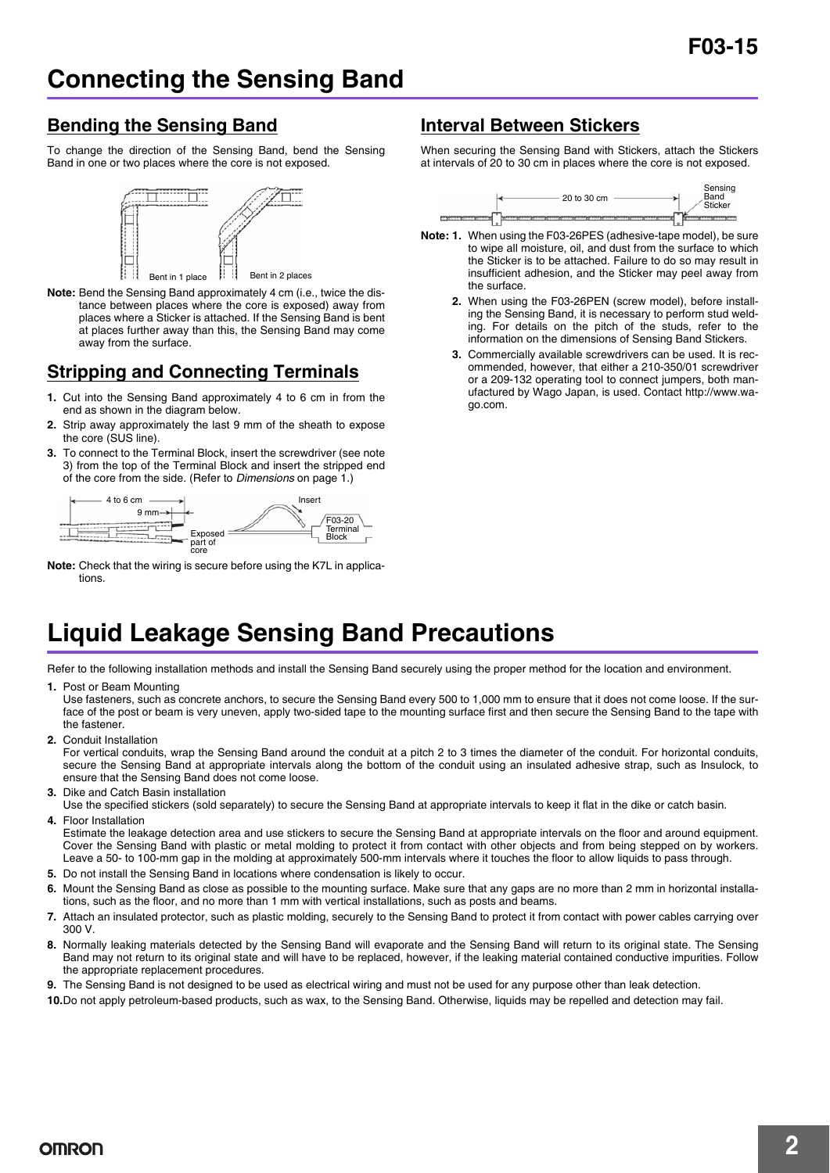#### **Bending the Sensing Band**

To change the direction of the Sensing Band, bend the Sensing Band in one or two places where the core is not exposed.



**Note:** Bend the Sensing Band approximately 4 cm (i.e., twice the distance between places where the core is exposed) away from places where a Sticker is attached. If the Sensing Band is bent at places further away than this, the Sensing Band may come away from the surface.

### **Stripping and Connecting Terminals**

- **1.** Cut into the Sensing Band approximately 4 to 6 cm in from the end as shown in the diagram below.
- **2.** Strip away approximately the last 9 mm of the sheath to expose the core (SUS line).
- **3.** To connect to the Terminal Block, insert the screwdriver (see note 3) from the top of the Terminal Block and insert the stripped end of the core from the side. (Refer to *Dimensions* on page 1.)



**Note:** Check that the wiring is secure before using the K7L in applications.

#### **Interval Between Stickers**

When securing the Sensing Band with Stickers, attach the Stickers at intervals of 20 to 30 cm in places where the core is not exposed.



- **Note: 1.** When using the F03-26PES (adhesive-tape model), be sure to wipe all moisture, oil, and dust from the surface to which the Sticker is to be attached. Failure to do so may result in insufficient adhesion, and the Sticker may peel away from the surface.
	- **2.** When using the F03-26PEN (screw model), before installing the Sensing Band, it is necessary to perform stud welding. For details on the pitch of the studs, refer to the information on the dimensions of Sensing Band Stickers.
	- **3.** Commercially available screwdrivers can be used. It is recommended, however, that either a 210-350/01 screwdriver or a 209-132 operating tool to connect jumpers, both manufactured by Wago Japan, is used. Contact http://www.wago.com.

### **Liquid Leakage Sensing Band Precautions**

Refer to the following installation methods and install the Sensing Band securely using the proper method for the location and environment.

**1.** Post or Beam Mounting

Use fasteners, such as concrete anchors, to secure the Sensing Band every 500 to 1,000 mm to ensure that it does not come loose. If the surface of the post or beam is very uneven, apply two-sided tape to the mounting surface first and then secure the Sensing Band to the tape with the fastener.

**2.** Conduit Installation

For vertical conduits, wrap the Sensing Band around the conduit at a pitch 2 to 3 times the diameter of the conduit. For horizontal conduits, secure the Sensing Band at appropriate intervals along the bottom of the conduit using an insulated adhesive strap, such as Insulock, to ensure that the Sensing Band does not come loose.

- **3.** Dike and Catch Basin installation
- Use the specified stickers (sold separately) to secure the Sensing Band at appropriate intervals to keep it flat in the dike or catch basin. **4.** Floor Installation

Estimate the leakage detection area and use stickers to secure the Sensing Band at appropriate intervals on the floor and around equipment. Cover the Sensing Band with plastic or metal molding to protect it from contact with other objects and from being stepped on by workers. Leave a 50- to 100-mm gap in the molding at approximately 500-mm intervals where it touches the floor to allow liquids to pass through.

- **5.** Do not install the Sensing Band in locations where condensation is likely to occur.
- **6.** Mount the Sensing Band as close as possible to the mounting surface. Make sure that any gaps are no more than 2 mm in horizontal installations, such as the floor, and no more than 1 mm with vertical installations, such as posts and beams.
- **7.** Attach an insulated protector, such as plastic molding, securely to the Sensing Band to protect it from contact with power cables carrying over 300 V.
- **8.** Normally leaking materials detected by the Sensing Band will evaporate and the Sensing Band will return to its original state. The Sensing Band may not return to its original state and will have to be replaced, however, if the leaking material contained conductive impurities. Follow the appropriate replacement procedures.
- **9.** The Sensing Band is not designed to be used as electrical wiring and must not be used for any purpose other than leak detection.

**10.**Do not apply petroleum-based products, such as wax, to the Sensing Band. Otherwise, liquids may be repelled and detection may fail.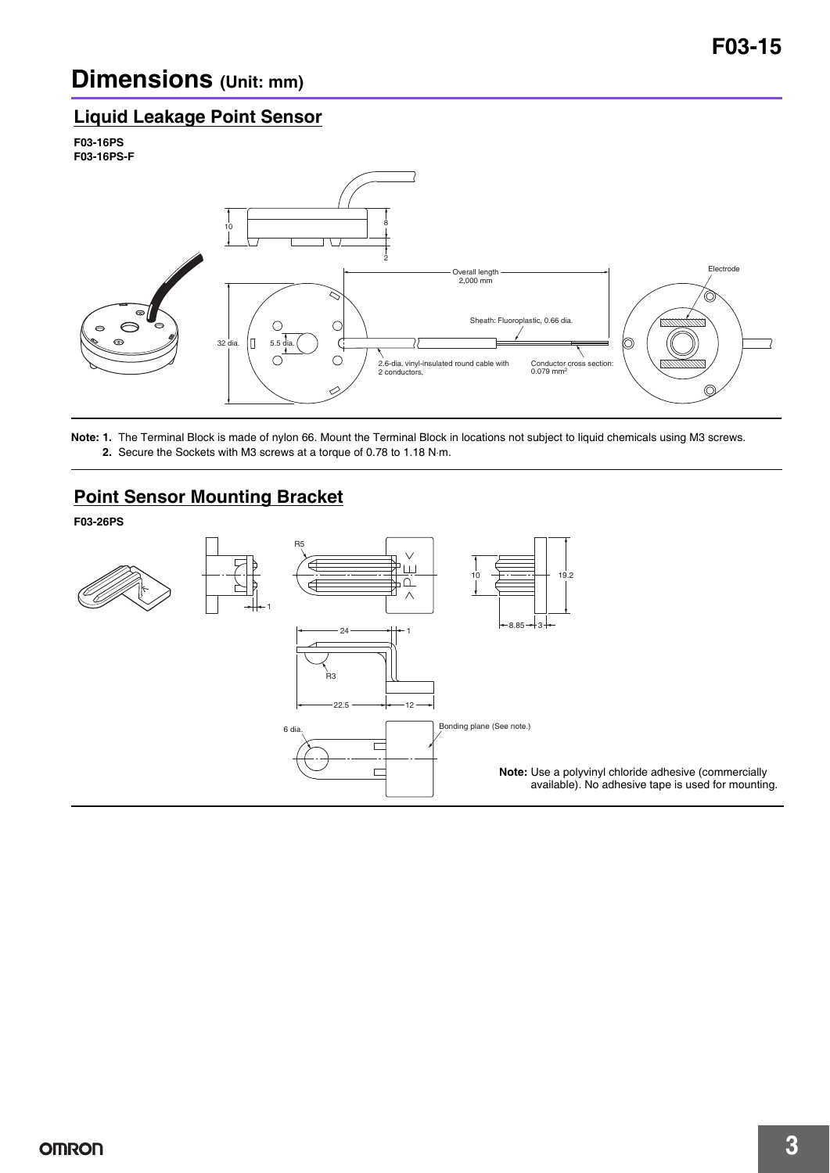### **Dimensions (Unit: mm)**

#### **Liquid Leakage Point Sensor**





**Note: 1.** The Terminal Block is made of nylon 66. Mount the Terminal Block in locations not subject to liquid chemicals using M3 screws. **2.** Secure the Sockets with M3 screws at a torque of 0.78 to 1.18 N⋅m.

### **Point Sensor Mounting Bracket**

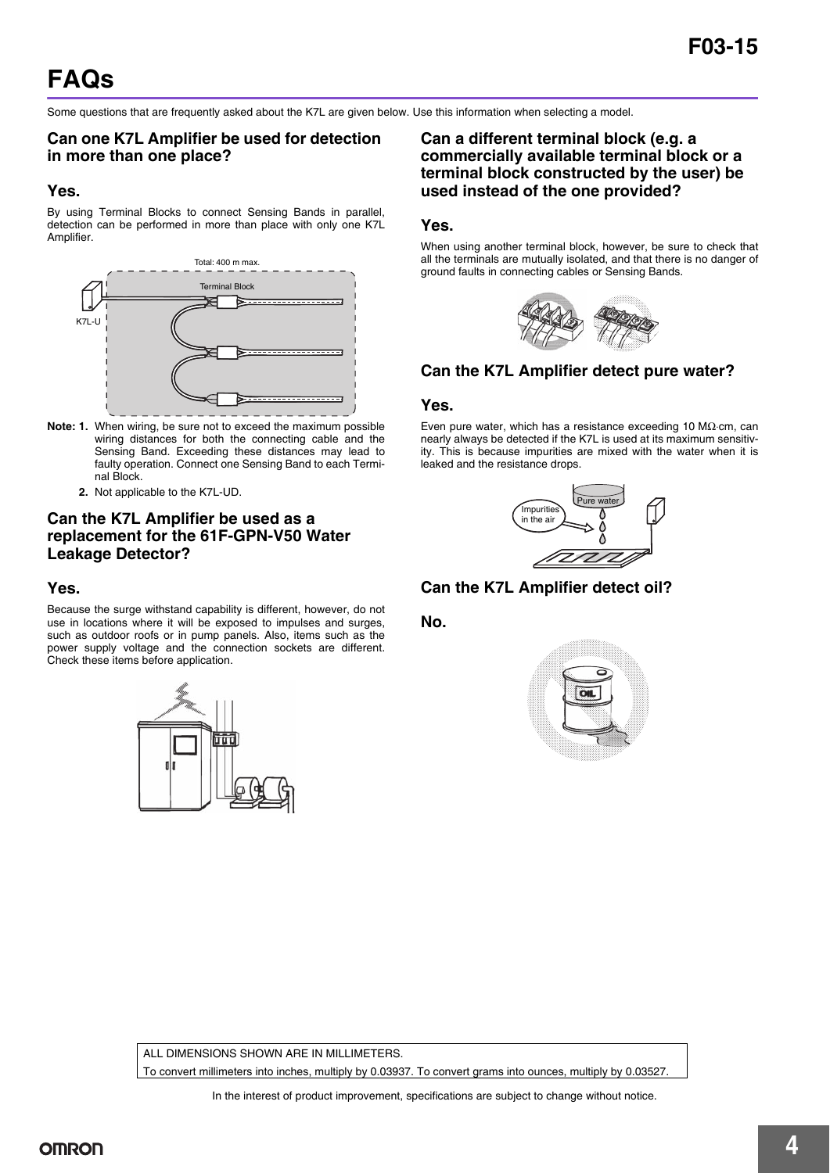Some questions that are frequently asked about the K7L are given below. Use this information when selecting a model.

#### **Can one K7L Amplifier be used for detection in more than one place?**

#### **Yes.**

By using Terminal Blocks to connect Sensing Bands in parallel, detection can be performed in more than place with only one K7L Amplifier.



- **Note: 1.** When wiring, be sure not to exceed the maximum possible wiring distances for both the connecting cable and the Sensing Band. Exceeding these distances may lead to faulty operation. Connect one Sensing Band to each Terminal Block.
	- **2.** Not applicable to the K7L-UD.

#### **Can the K7L Amplifier be used as a replacement for the 61F-GPN-V50 Water Leakage Detector?**

#### **Yes.**

Because the surge withstand capability is different, however, do not use in locations where it will be exposed to impulses and surges, such as outdoor roofs or in pump panels. Also, items such as the power supply voltage and the connection sockets are different. Check these items before application.



**Can a different terminal block (e.g. a commercially available terminal block or a terminal block constructed by the user) be used instead of the one provided?**

#### **Yes.**

When using another terminal block, however, be sure to check that all the terminals are mutually isolated, and that there is no danger of ground faults in connecting cables or Sensing Bands.



#### **Can the K7L Amplifier detect pure water?**

#### **Yes.**

Even pure water, which has a resistance exceeding 10 MΩ⋅cm, can nearly always be detected if the K7L is used at its maximum sensitivity. This is because impurities are mixed with the water when it is leaked and the resistance drops.



**Can the K7L Amplifier detect oil?**

**No.**



ALL DIMENSIONS SHOWN ARE IN MILLIMETERS

To convert millimeters into inches, multiply by 0.03937. To convert grams into ounces, multiply by 0.03527.